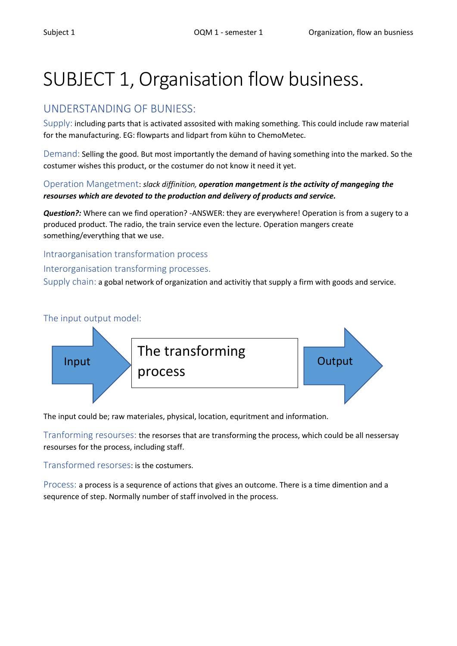# SUBJECT 1, Organisation flow business.

## UNDERSTANDING OF BUNIESS:

Supply: including parts that is activated assosited with making something. This could include raw material for the manufacturing. EG: flowparts and lidpart from kühn to ChemoMetec.

Demand: Selling the good. But most importantly the demand of having something into the marked. So the costumer wishes this product, or the costumer do not know it need it yet.

#### Operation Mangetment: *slack diffinition, operation mangetment is the activity of mangeging the resourses which are devoted to the production and delivery of products and service.*

*Question?:* Where can we find operation? -ANSWER: they are everywhere! Operation is from a sugery to a produced product. The radio, the train service even the lecture. Operation mangers create something/everything that we use.

#### Intraorganisation transformation process

#### Interorganisation transforming processes.

Supply chain: a gobal network of organization and activitiy that supply a firm with goods and service.



The input could be; raw materiales, physical, location, equritment and information.

Tranforming resourses: the resorses that are transforming the process, which could be all nessersay resourses for the process, including staff.

Transformed resorses: is the costumers.

Process: a process is a sequrence of actions that gives an outcome. There is a time dimention and a sequrence of step. Normally number of staff involved in the process.